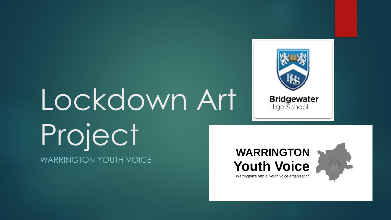# Lockdown Art Project WARRINGTON YOUTH VOICE







Warrington's official youth voice organisation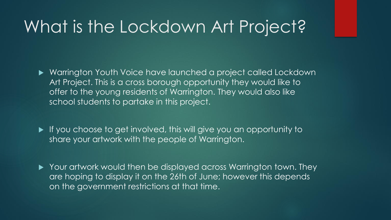### What is the Lockdown Art Project?

- Warrington Youth Voice have launched a project called Lockdown Art Project. This is a cross borough opportunity they would like to offer to the young residents of Warrington. They would also like school students to partake in this project.
- If you choose to get involved, this will give you an opportunity to share your artwork with the people of Warrington.
- ▶ Your artwork would then be displayed across Warrington town. They are hoping to display it on the 26th of June; however this depends on the government restrictions at that time.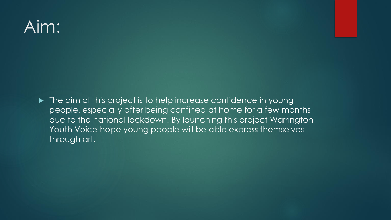## Aim:

 $\blacktriangleright$  The aim of this project is to help increase confidence in young people, especially after being confined at home for a few months due to the national lockdown. By launching this project Warrington Youth Voice hope young people will be able express themselves through art.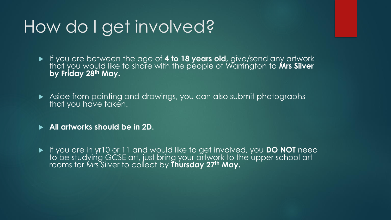### How do I get involved?

 If you are between the age of **4 to 18 years old,** give/send any artwork that you would like to share with the people of Warrington to **Mrs Silver by Friday 28th May.**

 Aside from painting and drawings, you can also submit photographs that you have taken.

**All artworks should be in 2D.**

 If you are in yr10 or 11 and would like to get involved, you **DO NOT** need to be studying GCSE art, just bring your artwork to the upper school art rooms for Mrs Silver to collect by **Thursday 27th May.**